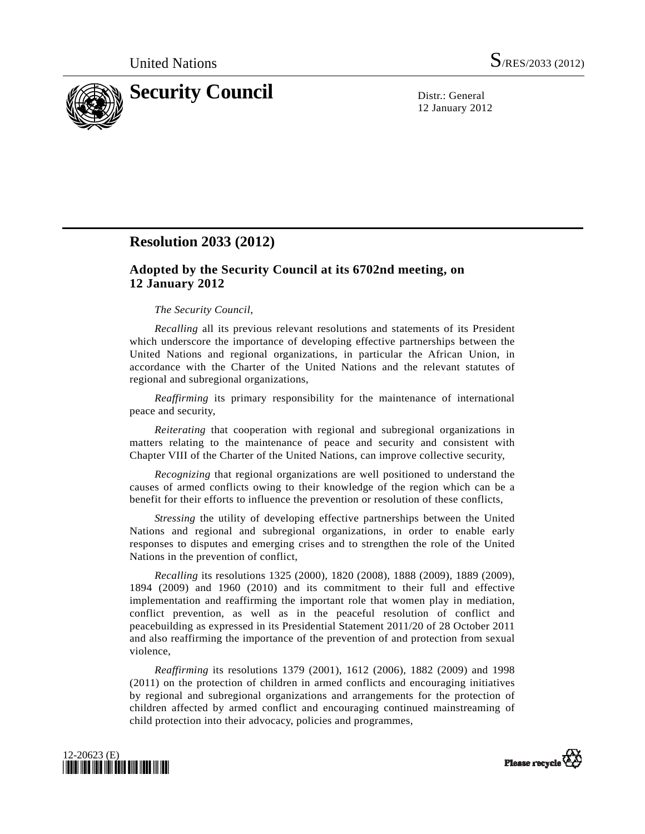

12 January 2012

## **Resolution 2033 (2012)**

## **Adopted by the Security Council at its 6702nd meeting, on 12 January 2012**

## *The Security Council*,

*Recalling* all its previous relevant resolutions and statements of its President which underscore the importance of developing effective partnerships between the United Nations and regional organizations, in particular the African Union, in accordance with the Charter of the United Nations and the relevant statutes of regional and subregional organizations,

*Reaffirming* its primary responsibility for the maintenance of international peace and security,

*Reiterating* that cooperation with regional and subregional organizations in matters relating to the maintenance of peace and security and consistent with Chapter VIII of the Charter of the United Nations, can improve collective security,

*Recognizing* that regional organizations are well positioned to understand the causes of armed conflicts owing to their knowledge of the region which can be a benefit for their efforts to influence the prevention or resolution of these conflicts,

*Stressing* the utility of developing effective partnerships between the United Nations and regional and subregional organizations, in order to enable early responses to disputes and emerging crises and to strengthen the role of the United Nations in the prevention of conflict,

*Recalling* its resolutions 1325 (2000), 1820 (2008), 1888 (2009), 1889 (2009), 1894 (2009) and 1960 (2010) and its commitment to their full and effective implementation and reaffirming the important role that women play in mediation, conflict prevention, as well as in the peaceful resolution of conflict and peacebuilding as expressed in its Presidential Statement 2011/20 of 28 October 2011 and also reaffirming the importance of the prevention of and protection from sexual violence,

*Reaffirming* its resolutions 1379 (2001), 1612 (2006), 1882 (2009) and 1998 (2011) on the protection of children in armed conflicts and encouraging initiatives by regional and subregional organizations and arrangements for the protection of children affected by armed conflict and encouraging continued mainstreaming of child protection into their advocacy, policies and programmes,



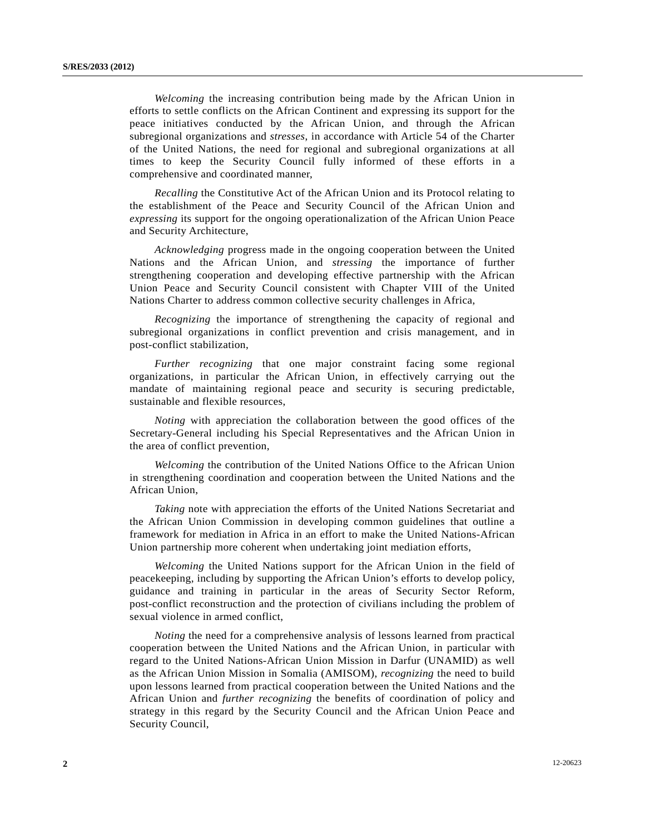*Welcoming* the increasing contribution being made by the African Union in efforts to settle conflicts on the African Continent and expressing its support for the peace initiatives conducted by the African Union, and through the African subregional organizations and *stresses*, in accordance with Article 54 of the Charter of the United Nations, the need for regional and subregional organizations at all times to keep the Security Council fully informed of these efforts in a comprehensive and coordinated manner,

*Recalling* the Constitutive Act of the African Union and its Protocol relating to the establishment of the Peace and Security Council of the African Union and *expressing* its support for the ongoing operationalization of the African Union Peace and Security Architecture,

*Acknowledging* progress made in the ongoing cooperation between the United Nations and the African Union, and *stressing* the importance of further strengthening cooperation and developing effective partnership with the African Union Peace and Security Council consistent with Chapter VIII of the United Nations Charter to address common collective security challenges in Africa,

*Recognizing* the importance of strengthening the capacity of regional and subregional organizations in conflict prevention and crisis management, and in post-conflict stabilization,

*Further recognizing* that one major constraint facing some regional organizations, in particular the African Union, in effectively carrying out the mandate of maintaining regional peace and security is securing predictable, sustainable and flexible resources,

*Noting* with appreciation the collaboration between the good offices of the Secretary-General including his Special Representatives and the African Union in the area of conflict prevention,

*Welcoming* the contribution of the United Nations Office to the African Union in strengthening coordination and cooperation between the United Nations and the African Union,

*Taking* note with appreciation the efforts of the United Nations Secretariat and the African Union Commission in developing common guidelines that outline a framework for mediation in Africa in an effort to make the United Nations-African Union partnership more coherent when undertaking joint mediation efforts,

*Welcoming* the United Nations support for the African Union in the field of peacekeeping, including by supporting the African Union's efforts to develop policy, guidance and training in particular in the areas of Security Sector Reform, post-conflict reconstruction and the protection of civilians including the problem of sexual violence in armed conflict,

*Noting* the need for a comprehensive analysis of lessons learned from practical cooperation between the United Nations and the African Union, in particular with regard to the United Nations-African Union Mission in Darfur (UNAMID) as well as the African Union Mission in Somalia (AMISOM), *recognizing* the need to build upon lessons learned from practical cooperation between the United Nations and the African Union and *further recognizing* the benefits of coordination of policy and strategy in this regard by the Security Council and the African Union Peace and Security Council,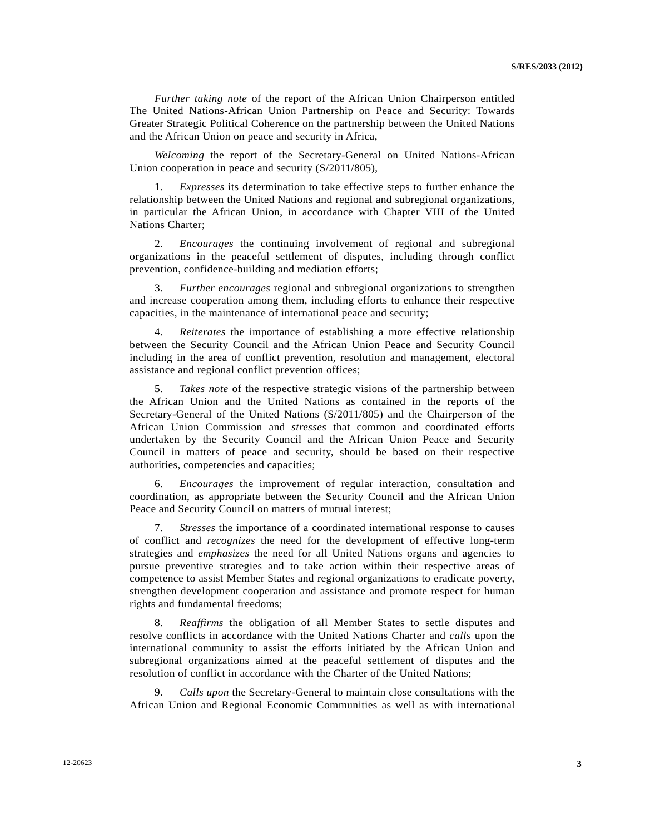*Further taking note* of the report of the African Union Chairperson entitled The United Nations-African Union Partnership on Peace and Security: Towards Greater Strategic Political Coherence on the partnership between the United Nations and the African Union on peace and security in Africa,

*Welcoming* the report of the Secretary-General on United Nations-African Union cooperation in peace and security (S/2011/805),

 1. *Expresses* its determination to take effective steps to further enhance the relationship between the United Nations and regional and subregional organizations, in particular the African Union, in accordance with Chapter VIII of the United Nations Charter;

 2. *Encourages* the continuing involvement of regional and subregional organizations in the peaceful settlement of disputes, including through conflict prevention, confidence-building and mediation efforts;

 3. *Further encourages* regional and subregional organizations to strengthen and increase cooperation among them, including efforts to enhance their respective capacities, in the maintenance of international peace and security;

 4. *Reiterates* the importance of establishing a more effective relationship between the Security Council and the African Union Peace and Security Council including in the area of conflict prevention, resolution and management, electoral assistance and regional conflict prevention offices;

 5. *Takes note* of the respective strategic visions of the partnership between the African Union and the United Nations as contained in the reports of the Secretary-General of the United Nations (S/2011/805) and the Chairperson of the African Union Commission and *stresses* that common and coordinated efforts undertaken by the Security Council and the African Union Peace and Security Council in matters of peace and security, should be based on their respective authorities, competencies and capacities;

 6. *Encourages* the improvement of regular interaction, consultation and coordination, as appropriate between the Security Council and the African Union Peace and Security Council on matters of mutual interest;

 7. *Stresses* the importance of a coordinated international response to causes of conflict and *recognizes* the need for the development of effective long-term strategies and *emphasizes* the need for all United Nations organs and agencies to pursue preventive strategies and to take action within their respective areas of competence to assist Member States and regional organizations to eradicate poverty, strengthen development cooperation and assistance and promote respect for human rights and fundamental freedoms;

 8. *Reaffirms* the obligation of all Member States to settle disputes and resolve conflicts in accordance with the United Nations Charter and *calls* upon the international community to assist the efforts initiated by the African Union and subregional organizations aimed at the peaceful settlement of disputes and the resolution of conflict in accordance with the Charter of the United Nations;

 9. *Calls upon* the Secretary-General to maintain close consultations with the African Union and Regional Economic Communities as well as with international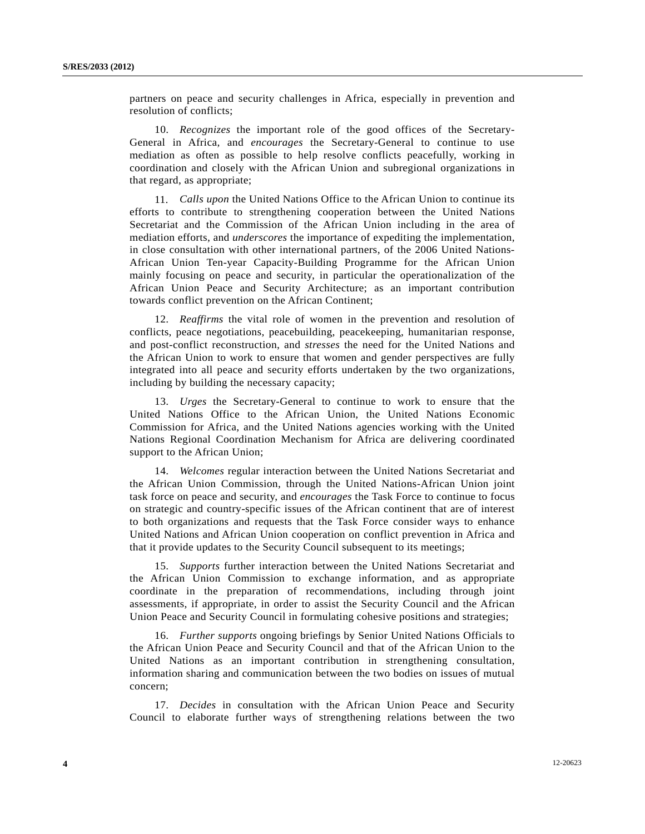partners on peace and security challenges in Africa, especially in prevention and resolution of conflicts;

 10. *Recognizes* the important role of the good offices of the Secretary-General in Africa, and *encourages* the Secretary-General to continue to use mediation as often as possible to help resolve conflicts peacefully, working in coordination and closely with the African Union and subregional organizations in that regard, as appropriate;

 11. *Calls upon* the United Nations Office to the African Union to continue its efforts to contribute to strengthening cooperation between the United Nations Secretariat and the Commission of the African Union including in the area of mediation efforts, and *underscores* the importance of expediting the implementation, in close consultation with other international partners, of the 2006 United Nations-African Union Ten-year Capacity-Building Programme for the African Union mainly focusing on peace and security, in particular the operationalization of the African Union Peace and Security Architecture; as an important contribution towards conflict prevention on the African Continent;

 12. *Reaffirms* the vital role of women in the prevention and resolution of conflicts, peace negotiations, peacebuilding, peacekeeping, humanitarian response, and post-conflict reconstruction, and *stresses* the need for the United Nations and the African Union to work to ensure that women and gender perspectives are fully integrated into all peace and security efforts undertaken by the two organizations, including by building the necessary capacity;

 13. *Urges* the Secretary-General to continue to work to ensure that the United Nations Office to the African Union, the United Nations Economic Commission for Africa, and the United Nations agencies working with the United Nations Regional Coordination Mechanism for Africa are delivering coordinated support to the African Union;

 14. *Welcomes* regular interaction between the United Nations Secretariat and the African Union Commission, through the United Nations-African Union joint task force on peace and security, and *encourages* the Task Force to continue to focus on strategic and country-specific issues of the African continent that are of interest to both organizations and requests that the Task Force consider ways to enhance United Nations and African Union cooperation on conflict prevention in Africa and that it provide updates to the Security Council subsequent to its meetings;

 15. *Supports* further interaction between the United Nations Secretariat and the African Union Commission to exchange information, and as appropriate coordinate in the preparation of recommendations, including through joint assessments, if appropriate, in order to assist the Security Council and the African Union Peace and Security Council in formulating cohesive positions and strategies;

 16. *Further supports* ongoing briefings by Senior United Nations Officials to the African Union Peace and Security Council and that of the African Union to the United Nations as an important contribution in strengthening consultation, information sharing and communication between the two bodies on issues of mutual concern;

 17. *Decides* in consultation with the African Union Peace and Security Council to elaborate further ways of strengthening relations between the two